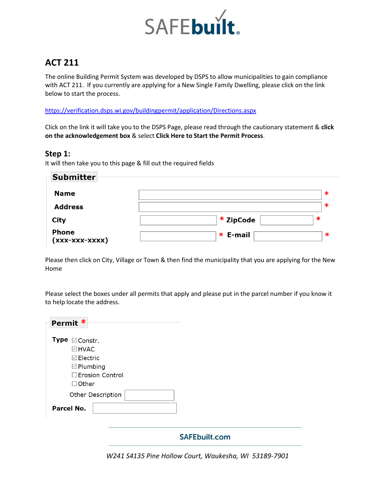

# **ACT 211**

The online Building Permit System was developed by DSPS to allow municipalities to gain compliance with ACT 211. If you currently are applying for a New Single Family Dwelling, please click on the link below to start the process.

<https://verification.dsps.wi.gov/buildingpermit/application/Directions.aspx>

Click on the link it will take you to the DSPS Page, please read through the cautionary statement & **click on the acknowledgement box** & select **Click Here to Start the Permit Process**.

## **Step 1:**

It will then take you to this page & fill out the required fields

| <b>Submitter</b>                 |                  |   |
|----------------------------------|------------------|---|
| <b>Name</b>                      |                  | ∗ |
| <b>Address</b>                   |                  | ∗ |
| <b>City</b>                      | $*$ ZipCode<br>∗ |   |
| <b>Phone</b><br>$(xxx-xxx-xxxx)$ | E-mail<br>∗      | ж |

Please then click on City, Village or Town & then find the municipality that you are applying for the New Home

Please select the boxes under all permits that apply and please put in the parcel number if you know it to help locate the address.

| Permit *                                                                                                                                        |                                                       |
|-------------------------------------------------------------------------------------------------------------------------------------------------|-------------------------------------------------------|
| <b>Type</b><br>$\boxdot$ Constr.<br>$\boxdot$ HVAC<br>$\boxtimes$ Electric<br>$\boxdot$ Plumbing<br><b>Erosion Control</b><br>П<br>$\Box$ Other |                                                       |
| <b>Other Description</b>                                                                                                                        |                                                       |
| <b>Parcel No.</b>                                                                                                                               |                                                       |
|                                                                                                                                                 | <b>SAFEbuilt.com</b>                                  |
|                                                                                                                                                 | W241 S4135 Pine Hollow Court, Waukesha, WI 53189-7901 |